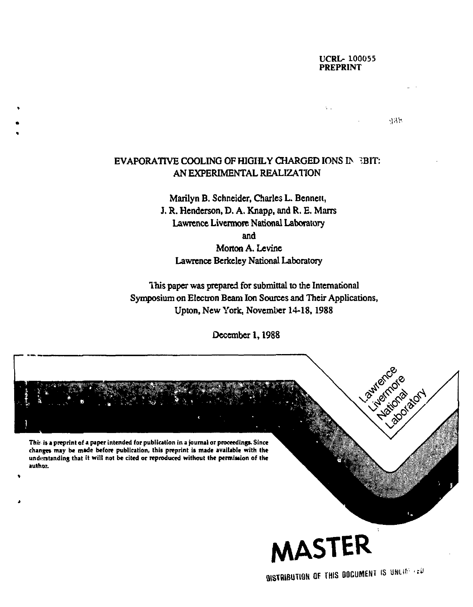# **UCRL- 100055 PREPRINT**

**BISTRIBUTION OF THIS DOCUMENT IS UNLIFE (ED** 

435

# **EVAPORATIVE COOLING OF HIGHLY CHARGED IONS I> ^ BIT: AN EXPERIMENTAL REALIZATION**

**Marilyn B. Schneider, Charles L. Bennett, J. R. Henderson, D. A. Knapp, and R. E. Marrs Lawrence Livermore National Laboratory and Morton A. Levine Lawrence Berkeley National Laboratory** 

**This paper was prepared for submittal to the International Symposium on Electron Beam Ion Sources and Their Applications, Upton, New York, November 14-18,1988** 

**December 1,1988** 

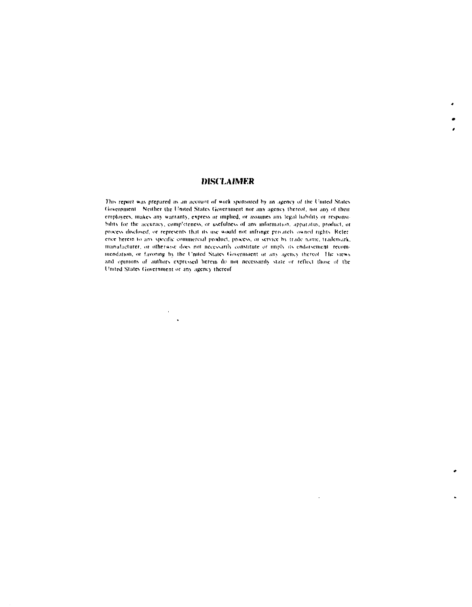# **IH.SCI.AIMKR**

*Yhii* report ».is *prepared* as *<in* .iccou"! of »«rk sponsored by an agency of trie United Nt;iles Government Neither the United States Government nor any agency thereof, nor any of their employees, makes any warranty, express or implied, or assumes any legal hability or responsibility for the accuracy, comp<sup>r</sup>eteness, or usefulness of any information, apparatus, product, or process disclosed, or represents that its use would not infringe privately owned rights. Reference herein to any specific commercial product, process, or service hy trade name, trademark, manufacturer, or otherwise does not necessarily constitute or imply its endorsement, recommendation, or favoring by the United States Government or any agency thereof. The views and opinions of authors expressed herein do not necessarily state or reflect those of the United Slates Government or any agency thereof

 $\mathbf{r}$ 

 $\ddot{\phantom{a}}$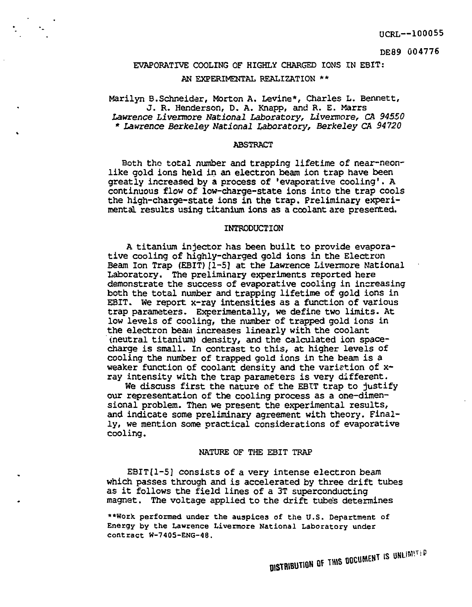DE89 004776

# EVAPORATIVE COOLING OF HIGHLY CHARGED IONS IN EBIT: AN EXPERIMENTAL REALIZATION \*\*

Marilyn B.Schneider, Morton A. Levine\*, Charles L. Bennett, J. R. Henderson, D. A. Knapp, and R. E. Marrs *Lawrence* Livennore *National Laboratory,* Livermore, *CR 94550 \* Lawrence Berkeley National Laboratory, Berkeley CA 94720* 

#### ABSTRACT

Both tho total number and trapping lifetime of near-neonlike gold ions held in an electron beam ion trap have been greatly increased by a process of 'evaporative cooling'. A continuous flow of low-charge-state ions into the trap cools the high-charge-state ions in the trap. Preliminary experimental results using titanium ions as a coolant are presented.

#### INTRODUCTION

A titanium injector has been built to provide evaporative cooling of highly-charged gold ions in the Electron Beam Ion Trap (EBIT)[1-5] at the Lawrence Livermore National Laboratory. The preliminary experiments reported here demonstrate the success of evaporative cooling in increasing both the total number and trapping lifetime of gold ions in EBIT. We report x-ray intensities as a function of various trap parameters. Experimentally, we define two limits. At low levels of cooling, the number of trapped gold ions in the electron beam increases linearly with the coolant (neutral titanium) density, and the calculated ion spacecharge is small. In contrast to this, at higher levels of cooling the number of trapped gold ions in the beam is a weaker function of coolant density and the variation of xray intensity with the trap parameters is very different.

We discuss first the nature of the EBTT trap to justify our representation of the cooling process as a one-dimensional problem. Then we present the experimental results, and indicate some preliminary agreement with theory. Finally, we mention some practical considerations of evaporative cooling.

#### NATURE OF THE EBIT TRAP

 $EBIT[1-5]$  consists of a very intense electron beam which passes through and is accelerated by three drift tubes as it follows the field lines of a 3T superconducting magnet. The voltage applied to the drift tube's determines

\*\*Work performed under the auspices of the U.S. Department of Energy by the Lawrence Livermore National Laboratory under contract W-740S-ENG-48.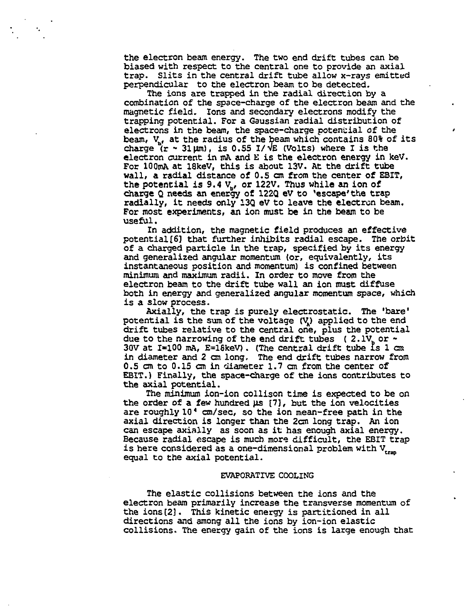the electron beam energy. The two end drift tubes can be biased with respect to the central one to provide an axial trap. Slits in the central drift tube allow x-rays emitted perpendicular to the electron beam to be detected.

The ions are trapped in the radial direction by a combination of the space-charge of the electron beam and the magnetic field. Ions and secondary electrons modify the trapping potential. For a Gaussian radial distribution of electrons in the beam, the space-charge potential of the beam, V, at the radius of the beam which contains 80% of its charge  $(r - 31 \mu m)$ , is 0.55 I/ $\sqrt{E}$  (Volts) where I is the electron current in mA and E is the electron energy in keV. For 100mA at 18keV, this is about 13V. At the drift tube wall, a radial distance of 0.5 cm from the center of EBIT, the potential is 9.4  $V_{\rm b}$ , or 122V. Thus while an ion of charge Q needs an energy of 122Q eV to 'escape'the trap radially, it needs only 13Q eV to leave the electron beam. For most experiments, an ion must be in the beam to be useful.

In addition, the magnetic field produces an effective potential[6] that further inhibits radial escape. The orbit of a charged particle in the trap, specified by its energy and generalized angular momentum (or, equivalently, its instantaneous position and momentum) is confined between minimum and maximum radii. In order to move from the electron beam to the drift tube wall an ion must diffuse both in energy and generalized angular momentum space, which is a slow process.

Axially, the trap is purely electrostatic. The 'bare' potential is the sum of the voltage (V^) applied to the end drift tubes relative to the central one, plus the potential due to the narrowing of the end drift tubes (2.1V, or  $\sim$ 30V at  $I=100$  mA,  $E=18$ keV). (The central drift tube is 1 cm in diameter and 2 cm long. The end drift tubes narrow from 0.5 cm to 0.15 cm in diameter 1.7 cm from the center of EBIT.) Finally, the space-charge of the ions contributes to the axial potential.

The minimum ion-ion collison time is expected to be on the order of a few hundred  $\mu s$  [7], but the ion velocities are roughly 10' cm/sec, so the ion mean-free path in the axial direction is longer than the 2cm long trap. An ion can escape axially as soon as it has enough axial energy. Because radial escape is much more difficult, the EBIT trap is here considered as a one-dimensional problem with  $V_{\text{max}}$ equal to the axial potential.

### EVAPORATIVE COOLING

The elastic collisions between the ions and the electron beam primarily increase the transverse momentum of the ions[2]. This kinetic energy is partitioned in all directions and among all the ions by ion-ion elastic collisions. The energy gain of the ions is large enough that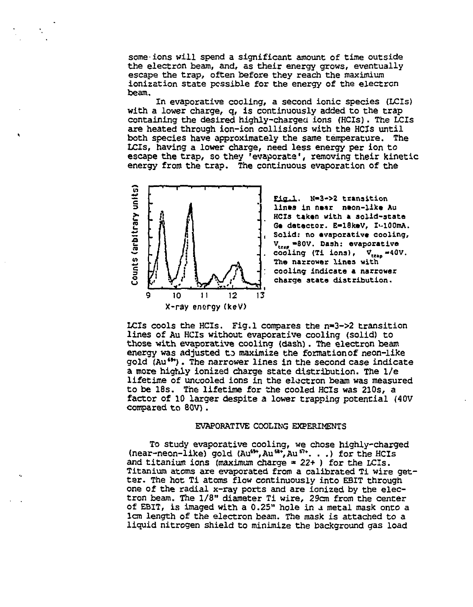some ions will spend a significant amount of time outside the electron beam, and, as their energy grows, eventually escape the trap, often before they reach the maximium ionization state possible for the energy of the electron beam.

In evaporative cooling, a second ionic species (LCIs) with a lower charge, q, is continuously added to the trap containing the desired highly-charged ions (HCIs). The LCIs are heated through ion-ion collisions with the HCIs until both species have approximately the same temperature. The LCIs, having a lower charge, need less energy per ion to escape the trap, so they 'evaporate', removing their kinetic energy from the trap. The continuous evaporation of the



÷,

Fig.1. N=3->2 transition lines in near neon-like Au HCIs taken with a solid-state Ge detector. E=18keV, I-100mA. Solid: no evaporative cooling,  $V_{\text{tree}} = 80V$ . Dash: evaporative cooling (Ti ions),  $V_{\text{trans}} = 40V$ . The narrower lines with cooling indicate a narrower charge state distribution.

LCIs cools the HCIs. Fig.1 compares the  $n=3-22$  transition lines of Au HCIs without evaporative cooling (solid) to those with evaporative cooling (dash). The electron beam energy was adjusted to maximize the formation of neon-like gold (Au"\*). The narrower lines in the second case indicate a more highly ionized charge state distribution. The 1/e lifetime of uncooled ions in the electron beam was measured to be 18s. The lifetime for the cooled HCIs was 210s, a factor of 10 larger despite a lower trapping potential (40V compared to 80V).

#### EVAPORATIVE COOLING EXPERIMENTS

To study evaporative cooling, we chose highly-charged (near-neon-like) gold (Au<sup>63+</sup>, Au<sup>61+</sup>, Au<sup>61+</sup>. . .) for the HCIs and titanium ions (maximum charge » *22+* ) for the LCIs. Titanium atoms are evaporated from a calibrated Ti wire getter. The hot Ti atoms flow continuously into EBIT through one of the radial x-ray ports and are ionized by the electron beam. The 1/8" diameter Ti wire, 29cm from the center of EBIT, is imaged with a 0.25" hole in a metal mask onto a lem length of the electron beam. The mask is attached to a liquid nitrogen shield to minimize the background gas load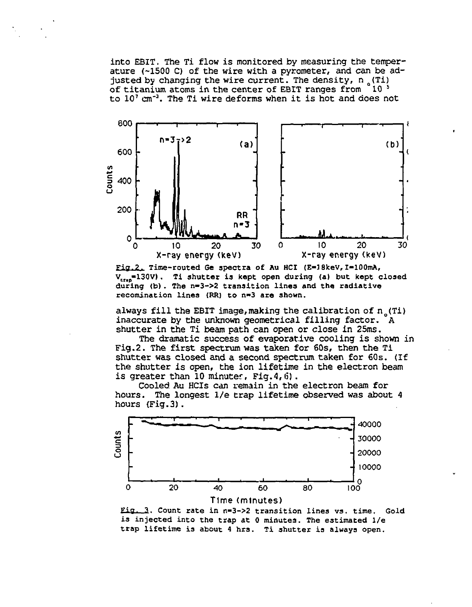into EBIT. The Ti flow is monitored by measuring the temperature (-1500 C) of the wire with a pyrometer, and can be adjusted by changing the wire current. The density,  $n_{\alpha}(T1)$ of titanium atoms in the center of EBIT ranges from  $10<sup>5</sup>$ to 10' cm<sup>-3</sup>. The Ti wire deforms when it is hot and does not



Fig.?. Time-routed Ge spectra of Au HCI (E-J8kev,I-100mA, V<sub>ran</sub>=130V). Ti shutter is kept open during (a) but kept closed during (b). The n-3->2 transition lines and the radiative recomination lines (RR) to n-3 are shown.

always fill the EBIT image, making the calibration of  $n_c(Ti)$ inaccurate by the unknown geometrical filling factor. A shutter in the Ti beam path can open or close in 25ms.

The dramatic success of evaporative cooling is shown in Fig.2. The first spectrum was taken for 60s, then the Ti shutter was closed and a second spectrum taken for 60s. (If the shutter is open, the ion lifetime in the electron beam is greater than 10 minuter. Fig.4,6).

Cooled Au HCIs can remain in the electron beam for hours. The longest 1/e trap lifetime observed was about 4 hours (Fig.3).



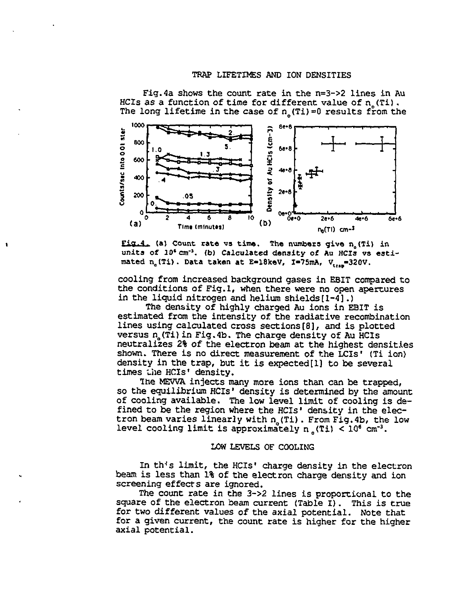#### TRAP LIFETIMES AND ION DENSITIES



Fig.4a shows the count rate in the n=3->2 lines in Au HCIs as a function of time for different value of  $n_{\text{c}}(Ti)$ . The long lifetime in the case of  $n_{\text{c}}(T_i)=0$  results from the

 $Eig.4$ . (a) Count rate vs time. The numbers give  $n_s(Ti)$  in units of *10' an'<sup>3</sup> ,* (b) Calculated density of Au HCIs vs estimated n<sub>a</sub>(Ti). Data taken at E=18keV, I=75mA, V<sub>inc</sub>=320V.

cooling from increased background gases in EBIT compared to the conditions of Fig.l, when there were no open apertures in the liquid nitrogen and helium shields [1-4].)

The density of highly charged Au ions in EBIT is estimated from the intensity of the radiative recombination lines using calculated cross sections[8], and is plotted versus  $n_s(T_1)$  in Fig.4b. The charge density of Au HCIs neutralizes 2% of the electron beam at the highest densities shown. There is no direct measurement of the LCIs" (Ti ion) density in the trap, but it is expected [1] to be several times the HCIs' density.

The MEWA injects many more ions than can be trapped, so the equilibrium HCIs' density is determined by the amount of cooling available. The low level limit of cooling is defined to be the region where the HCIs" density in the electron beam varies linearly with n<sub>1</sub>(Ti). From Fig.4b, the low level cooling limit is approximately n (Ti) <  $10^6$  cm<sup>-3</sup>.

### LOW LEVELS OF COOLING

In th's limit, the HCIs' charge density in the electron beam is less than 1% of the electron charge density and ion screening effects are ignored.

The count rate in the 3->2 lines is proportional to the square of the electron beam current (Table I). This is true for two different values of the axial potential. Note that for a given current, the count rate is higher for the higher axial potential.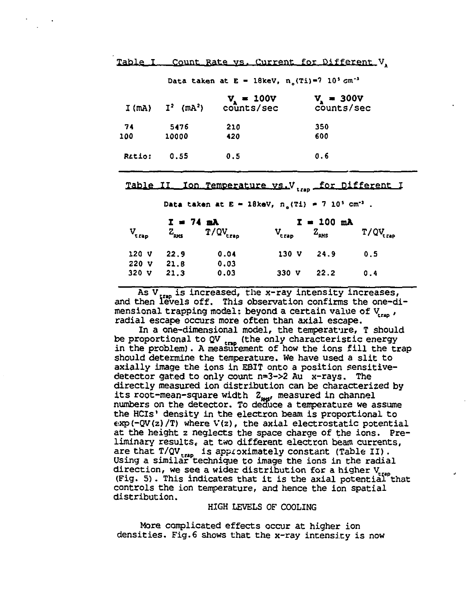Table I Count Rate vs. Current for Different V.

| I(mA)  |                          |                            |                            |  |  |
|--------|--------------------------|----------------------------|----------------------------|--|--|
|        | $I^2$ (mA <sup>2</sup> ) | $v_s = 100v$<br>counts/sec | $v_x = 300v$<br>counts/sec |  |  |
| 74     | 5476                     | 210                        | 350                        |  |  |
| 100    | 10000                    | 420                        | 600                        |  |  |
| Ratio: | 0.55                     | 0.5                        | 0.6                        |  |  |

**Data taken at E = 18keV, n<sub>s</sub>(Ti)=7 10<sup>5</sup> cm<sup>-3</sup>** 

## **Table II fon Temperature vs.V. .. for Different I**

 $Data$  taken at  $E = 18$ keV,  $n_s(T1) = 7 \cdot 10^5$  cm<sup>-1</sup>.

|                  | $I = 74$ mA   |                      | $I = 100$ mA      |                                |                      |
|------------------|---------------|----------------------|-------------------|--------------------------------|----------------------|
| $V_{trap}$       | $Z_{\rm RMS}$ | $T/QV_{\text{trap}}$ | $V_{\text{trap}}$ | $\mathbf{Z}_{_{\mathbf{RHS}}}$ | $T/QV_{\text{trap}}$ |
| 120V             | 22.9          | 0.04                 | 130 V             | 24.9                           | 0.5                  |
| 220 V            | 21.8          | 0.03                 |                   |                                |                      |
| 320 <sub>V</sub> | 21.3          | 0.03                 | 330 V             | 22.2                           | 0.4                  |

As  $V_{\text{tran}}$  is increased, the x-ray intensity increases, and then levels off. This observation confirms the one-dimensional trapping model: beyond a certain value of V<sub>ran</sub>, radial escape occurs more often than axial escape.

In a one-dimensional model, the temperature, T should be proportional to  $QV$ <sub>tmp</sub> (the only characteristic energy in the problem). A measurement of how the ions fill the trap should determine the temperature. We have used a slit to axially image the ions in EBIT onto a position sensitivedetector gated to only count n=3->2 Au x-rays. The directly measured ion distribution can be characterized by its root-mean-square width  $Z_{\text{max}}$ , measured in channel numbers on the detector. To deduce a temperature we assume the HCls' density in the electron beam is proportional to  $\exp(-QV(z)/T)$  where  $V(z)$ , the axial electrostatic potential at the height z neglects the space charge of the ions. Preliminary results, at two different electron beam currents, are that  $T/QV_{\text{max}}$  is approximately constant (Table II). Using a similar technique to image the ions in the radial direction, we see a wider distribution for a higher  $V_{\text{tree}}$  $(Fig. 5)$ . This indicates that it is the axial potential that controls the ion temperature, and hence the ion spatial distribution.

# HIGH LEVELS OF COOLING

More complicated effects occur at higher ion densities. Fig.6 shows that the x-ray intensity is now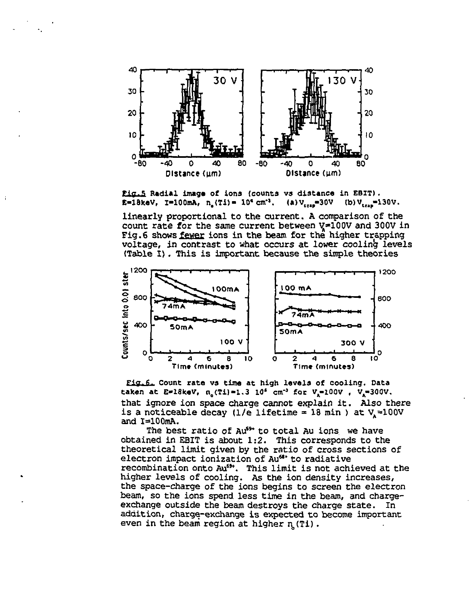

Pig.5 Radial image of ions (counts vs distance in EBIT). **E-18keV, I-100mA, n. (Ti) = 10<sup>c</sup> cm<sup>-1</sup>. (a)**  $V_{\text{rms}}$ **=30V (b)**  $V_{\text{rms}}$ **=130V.** 

linearly proportional to the current. A comparison of the count rate for the same current between  $V=100V$  and 300V in Fig. 6 shows fewer ions in the beam for the higher trapping voltage, in contrast to what occurs at lower cooling levels (Table I) . This is important because the simple theories



Fig.6. Count rate vs time at high levels of cooling. Data taken at E=18keV, n. (Ti)=1.3 10<sup>4</sup> cm<sup>-3</sup> for V<sub>.</sub>=100V , V.=300V. that ignore ion space charge cannot explain it. Also there is a noticeable decay (1/e lifetime = 18 min ) at  $V_s$ =100V and l=100mA.

The best ratio of Au<sup>69</sup> to total Au ions we have obtained in EBIT is about 1:2. This corresponds to the theoretical limit given by the ratio of cross sections of electron impact ionization of Au<sup>68</sup> to radiative recombination onto Au<sup>69</sup>. This limit is not achieved at the higher levels of cooling. As the ion density increases, the space-charge of the ions begins to screen the electron beam, so the ions spend less time in the beam, and chargeexchange outside the beam destroys the charge state. In addition, charge-exchange is expected to become important even in the beam region at higher n (Ti).